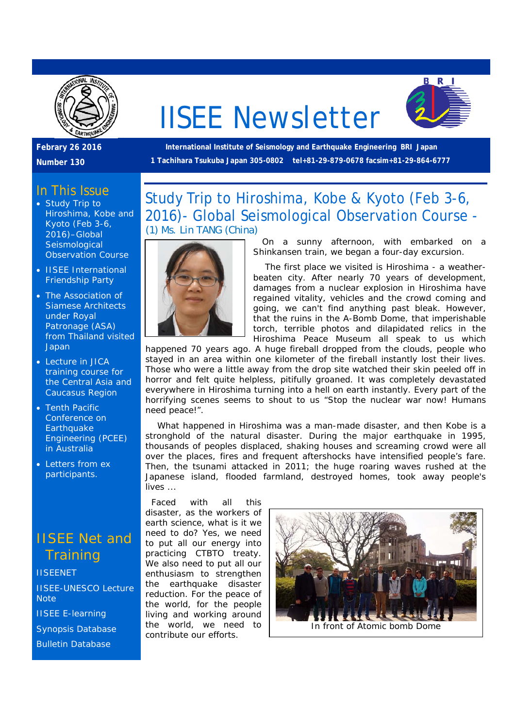

# IISEE Newsletter



**Febrary 26 2016** 

**Number 130** 

#### **International Institute of Seismology and Earthquake Engineering BRI Japan 1 Tachihara Tsukuba Japan 305-0802 tel+81-29-879-0678 facsim+81-29-864-6777**

## In This Issue

- Study Trip to Hiroshima, Kobe and Kyoto (Feb 3-6, 2016)–Global **Seismological** Observation Course
- IISEE International Friendship Party
- The Association of Siamese Architects under Royal Patronage (ASA) from Thailand visited **Japan**
- Lecture in JICA training course for the Central Asia and Caucasus Region
- Tenth Pacific Conference on **Earthquake** Engineering (PCEE) in Australia
- Letters from ex participants.

## IISEE Net and **Training**

**IISEENET** IISEE-UNESCO Lecture **Note** IISEE E-learning Synopsis Database Bulletin Database

Study Trip to Hiroshima, Kobe & Kyoto (Feb 3-6, 2016)- Global Seismological Observation Course - *(1) Ms. Lin TANG (China)* 



 On a sunny afternoon, with embarked on a Shinkansen train, we began a four-day excursion.

 The first place we visited is Hiroshima - a weatherbeaten city. After nearly 70 years of development, damages from a nuclear explosion in Hiroshima have regained vitality, vehicles and the crowd coming and going, we can't find anything past bleak. However, that the ruins in the A-Bomb Dome, that imperishable torch, terrible photos and dilapidated relics in the Hiroshima Peace Museum all speak to us which

happened 70 years ago. A huge fireball dropped from the clouds, people who stayed in an area within one kilometer of the fireball instantly lost their lives. Those who were a little away from the drop site watched their skin peeled off in horror and felt quite helpless, pitifully groaned. It was completely devastated everywhere in Hiroshima turning into a hell on earth instantly. Every part of the horrifying scenes seems to shout to us "Stop the nuclear war now! Humans need peace!".

 What happened in Hiroshima was a man-made disaster, and then Kobe is a stronghold of the natural disaster. During the major earthquake in 1995, thousands of peoples displaced, shaking houses and screaming crowd were all over the places, fires and frequent aftershocks have intensified people's fare. Then, the tsunami attacked in 2011; the huge roaring waves rushed at the Japanese island, flooded farmland, destroyed homes, took away people's lives ...

 Faced with all this disaster, as the workers of earth science, what is it we need to do? Yes, we need to put all our energy into practicing CTBTO treaty. We also need to put all our enthusiasm to strengthen the earthquake disaster reduction. For the peace of the world, for the people living and working around the world, we need to contribute our efforts.

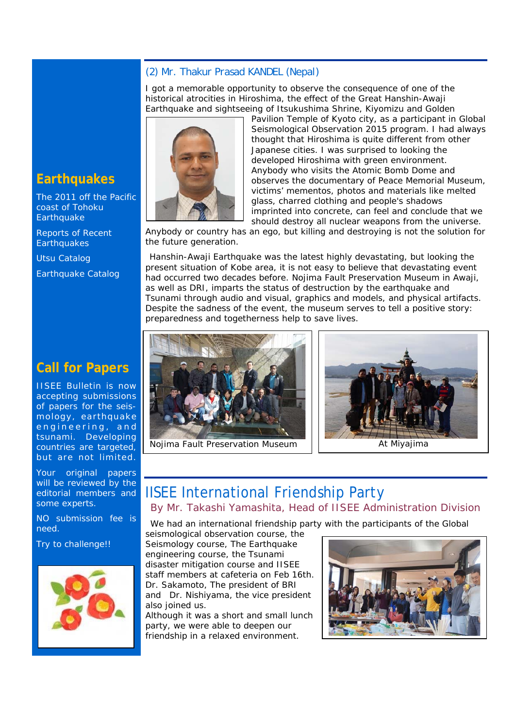#### *(2) Mr. Thakur Prasad KANDEL (Nepal)*

I got a memorable opportunity to observe the consequence of one of the historical atrocities in Hiroshima, the effect of the Great Hanshin-Awaji Earthquake and sightseeing of Itsukushima Shrine, Kiyomizu and Golden



Pavilion Temple of Kyoto city, as a participant in Global Seismological Observation 2015 program. I had always thought that Hiroshima is quite different from other Japanese cities. I was surprised to looking the developed Hiroshima with green environment. Anybody who visits the Atomic Bomb Dome and observes the documentary of Peace Memorial Museum, victims' mementos, photos and materials like melted glass, charred clothing and people's shadows imprinted into concrete, can feel and conclude that we should destroy all nuclear weapons from the universe.

Anybody or country has an ego, but killing and destroying is not the solution for the future generation.

Hanshin-Awaji Earthquake was the latest highly devastating, but looking the present situation of Kobe area, it is not easy to believe that devastating event had occurred two decades before. Nojima Fault Preservation Museum in Awaji, as well as DRI, imparts the status of destruction by the earthquake and Tsunami through audio and visual, graphics and models, and physical artifacts. Despite the sadness of the event, the museum serves to tell a positive story: preparedness and togetherness help to save lives.





## IISEE International Friendship Party *By Mr. Takashi Yamashita, Head of IISEE Administration Division*

We had an international friendship party with the participants of the Global

seismological observation course, the Seismology course, The Earthquake engineering course, the Tsunami disaster mitigation course and IISEE staff members at cafeteria on Feb 16th. Dr. Sakamoto, The president of BRI and Dr. Nishiyama, the vice president also joined us.

Although it was a short and small lunch party, we were able to deepen our friendship in a relaxed environment.



## **Earthquakes**

The 2011 off the Pacific coast of Tohoku **Earthquake** 

Reports of Recent **Earthquakes** 

Utsu Catalog

Earthquake Catalog

## **Call for Papers**

IISEE Bulletin is now accepting submissions of papers for the seismology, earthquake engineering, and tsunami. Developing countries are targeted, but are not limited.

Your original papers will be reviewed by the editorial members and some experts.

NO submission fee is need.

Try to challenge!!

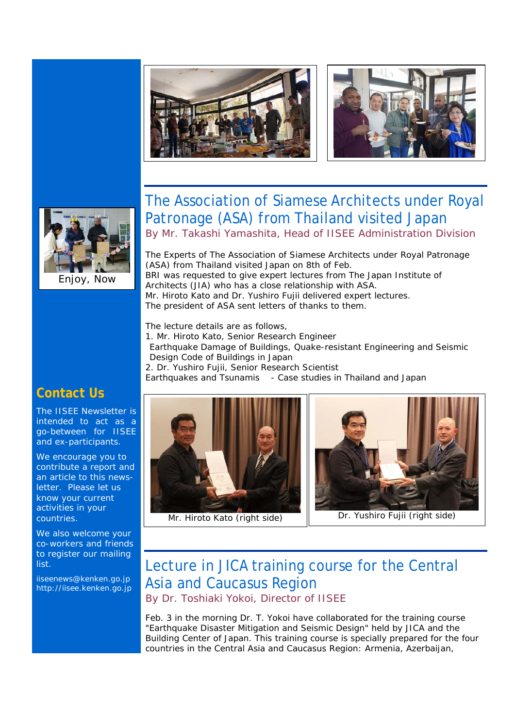





Enjoy, Now

# The Association of Siamese Architects under Royal Patronage (ASA) from Thailand visited Japan

*By Mr. Takashi Yamashita, Head of IISEE Administration Division*

The Experts of The Association of Siamese Architects under Royal Patronage (ASA) from Thailand visited Japan on 8th of Feb. BRI was requested to give expert lectures from The Japan Institute of Architects (JIA) who has a close relationship with ASA. Mr. Hiroto Kato and Dr. Yushiro Fujii delivered expert lectures. The president of ASA sent letters of thanks to them.

The lecture details are as follows,

- 1. Mr. Hiroto Kato, Senior Research Engineer
- Earthquake Damage of Buildings, Quake-resistant Engineering and Seismic Design Code of Buildings in Japan

2. Dr. Yushiro Fujii, Senior Research Scientist

Earthquakes and Tsunamis - Case studies in Thailand and Japan

## **Contact Us**

The IISEE Newsletter is intended to act as a go-between for IISEE and ex-participants.

We encourage you to contribute a report and an article to this newsletter. Please let us know your current activities in your countries.

We also welcome your co-workers and friends to register our mailing list.

iiseenews@kenken.go.jp http://iisee.kenken.go.jp



Mr. Hiroto Kato (right side) | Dr. Yushiro Fujii (right side)



# Lecture in JICA training course for the Central Asia and Caucasus Region

*By Dr. Toshiaki Yokoi, Director of IISEE* 

Feb. 3 in the morning Dr. T. Yokoi have collaborated for the training course "Earthquake Disaster Mitigation and Seismic Design" held by JICA and the Building Center of Japan. This training course is specially prepared for the four countries in the Central Asia and Caucasus Region: Armenia, Azerbaijan,